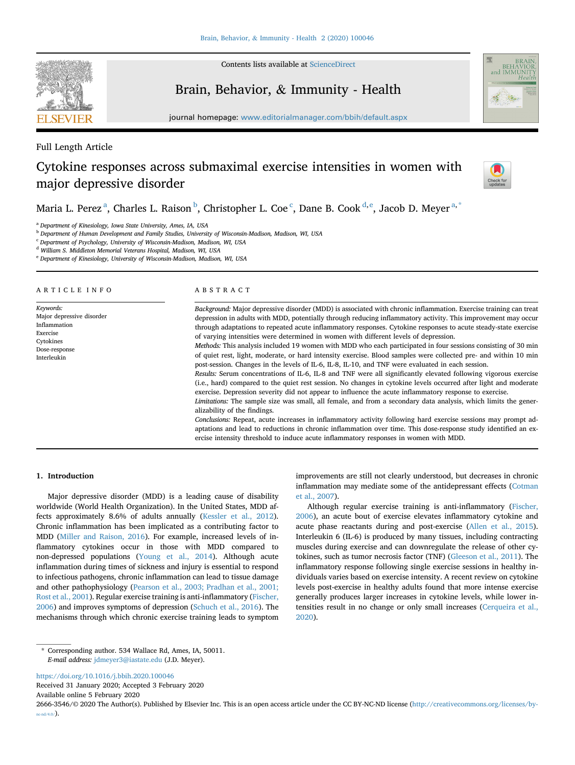

Contents lists available at [ScienceDirect](www.sciencedirect.com/science/journal/26663546)

# Brain, Behavior, & Immunity - Health



journal homepage: <www.editorialmanager.com/bbih/default.aspx>

## Full Length Article

## Cytokine responses across submaximal exercise intensities in women with major depressive disorder



M[a](#page-0-0)ria L. Perez <sup>a</sup>, Charles L. Raison <sup>[b](#page-0-1)</sup>, Christopher L. Coe <sup>[c](#page-0-2)</sup>, Dane B. Cook <sup>[d,](#page-0-3) [e](#page-0-4)</sup>, Jacob D. Meyer <sup>[a,](#page-0-0) [\\*](#page-0-5)</sup>

<span id="page-0-0"></span><sup>a</sup> Department of Kinesiology, Iowa State University, Ames, IA, USA

<span id="page-0-1"></span><sup>b</sup> Department of Human Development and Family Studies, University of Wisconsin-Madison, Madison, WI, USA

<span id="page-0-2"></span><sup>c</sup> Department of Psychology, University of Wisconsin-Madison, Madison, WI, USA

<span id="page-0-3"></span><sup>d</sup> William S. Middleton Memorial Veterans Hospital, Madison, WI, USA

<span id="page-0-4"></span><sup>e</sup> Department of Kinesiology, University of Wisconsin-Madison, Madison, WI, USA

ARTICLE INFO

Keywords: Major depressive disorder Inflammation Exercise Cytokines Dose-response Interleukin

## ABSTRACT

Background: Major depressive disorder (MDD) is associated with chronic inflammation. Exercise training can treat depression in adults with MDD, potentially through reducing inflammatory activity. This improvement may occur through adaptations to repeated acute inflammatory responses. Cytokine responses to acute steady-state exercise of varying intensities were determined in women with different levels of depression.

Methods: This analysis included 19 women with MDD who each participated in four sessions consisting of 30 min of quiet rest, light, moderate, or hard intensity exercise. Blood samples were collected pre- and within 10 min post-session. Changes in the levels of IL-6, IL-8, IL-10, and TNF were evaluated in each session.

Results: Serum concentrations of IL-6, IL-8 and TNF were all significantly elevated following vigorous exercise (i.e., hard) compared to the quiet rest session. No changes in cytokine levels occurred after light and moderate exercise. Depression severity did not appear to influence the acute inflammatory response to exercise.

Limitations: The sample size was small, all female, and from a secondary data analysis, which limits the generalizability of the findings.

Conclusions: Repeat, acute increases in inflammatory activity following hard exercise sessions may prompt adaptations and lead to reductions in chronic inflammation over time. This dose-response study identified an exercise intensity threshold to induce acute inflammatory responses in women with MDD.

## 1. Introduction

Major depressive disorder (MDD) is a leading cause of disability worldwide (World Health Organization). In the United States, MDD affects approximately 8.6% of adults annually [\(Kessler et al., 2012\)](#page-5-0). Chronic inflammation has been implicated as a contributing factor to MDD [\(Miller and Raison, 2016](#page-5-1)). For example, increased levels of inflammatory cytokines occur in those with MDD compared to non-depressed populations ([Young et al., 2014](#page-5-2)). Although acute inflammation during times of sickness and injury is essential to respond to infectious pathogens, chronic inflammation can lead to tissue damage and other pathophysiology [\(Pearson et al., 2003; Pradhan et al., 2001;](#page-5-3) [Rost et al., 2001\)](#page-5-3). Regular exercise training is anti-inflammatory ([Fischer,](#page-5-4) [2006\)](#page-5-4) and improves symptoms of depression [\(Schuch et al., 2016\)](#page-5-5). The mechanisms through which chronic exercise training leads to symptom improvements are still not clearly understood, but decreases in chronic inflammation may mediate some of the antidepressant effects ([Cotman](#page-4-0) [et al., 2007](#page-4-0)).

Although regular exercise training is anti-inflammatory ([Fischer,](#page-5-4) [2006\)](#page-5-4), an acute bout of exercise elevates inflammatory cytokine and acute phase reactants during and post-exercise [\(Allen et al., 2015\)](#page-4-1). Interleukin 6 (IL-6) is produced by many tissues, including contracting muscles during exercise and can downregulate the release of other cytokines, such as tumor necrosis factor (TNF) [\(Gleeson et al., 2011\)](#page-5-6). The inflammatory response following single exercise sessions in healthy individuals varies based on exercise intensity. A recent review on cytokine levels post-exercise in healthy adults found that more intense exercise generally produces larger increases in cytokine levels, while lower intensities result in no change or only small increases [\(Cerqueira et al.,](#page-4-2) [2020\)](#page-4-2).

<https://doi.org/10.1016/j.bbih.2020.100046>

Received 31 January 2020; Accepted 3 February 2020 Available online 5 February 2020

2666-3546/© 2020 The Author(s). Published by Elsevier Inc. This is an open access article under the CC BY-NC-ND license [\(http://creativecommons.org/licenses/by](http://creativecommons.org/licenses/by-nc-nd/4.0/) $nc-nd/4.0/$ ).

<span id="page-0-5"></span><sup>\*</sup> Corresponding author. 534 Wallace Rd, Ames, IA, 50011. E-mail address: [jdmeyer3@iastate.edu](mailto:jdmeyer3@iastate.edu) (J.D. Meyer).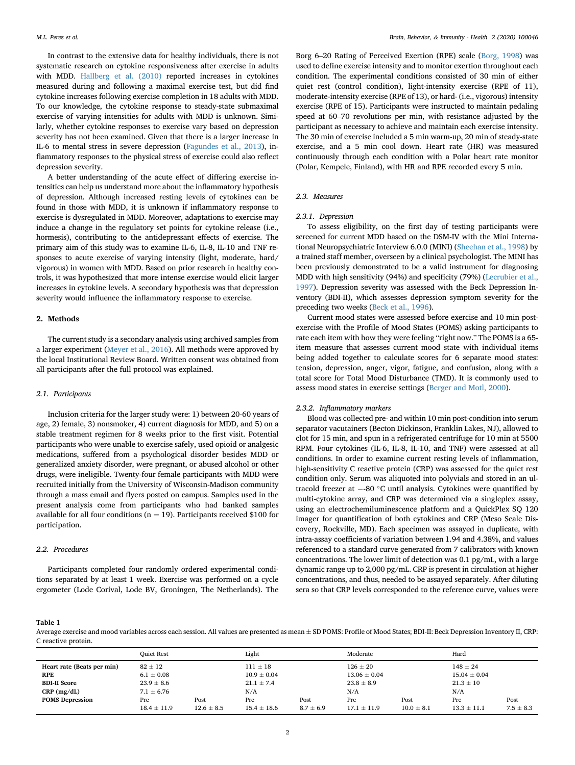In contrast to the extensive data for healthy individuals, there is not systematic research on cytokine responsiveness after exercise in adults with MDD. [Hallberg et al. \(2010\)](#page-5-7) reported increases in cytokines measured during and following a maximal exercise test, but did find cytokine increases following exercise completion in 18 adults with MDD. To our knowledge, the cytokine response to steady-state submaximal exercise of varying intensities for adults with MDD is unknown. Similarly, whether cytokine responses to exercise vary based on depression severity has not been examined. Given that there is a larger increase in IL-6 to mental stress in severe depression [\(Fagundes et al., 2013\)](#page-5-8), inflammatory responses to the physical stress of exercise could also reflect depression severity.

A better understanding of the acute effect of differing exercise intensities can help us understand more about the inflammatory hypothesis of depression. Although increased resting levels of cytokines can be found in those with MDD, it is unknown if inflammatory response to exercise is dysregulated in MDD. Moreover, adaptations to exercise may induce a change in the regulatory set points for cytokine release (i.e., hormesis), contributing to the antidepressant effects of exercise. The primary aim of this study was to examine IL-6, IL-8, IL-10 and TNF responses to acute exercise of varying intensity (light, moderate, hard/ vigorous) in women with MDD. Based on prior research in healthy controls, it was hypothesized that more intense exercise would elicit larger increases in cytokine levels. A secondary hypothesis was that depression severity would influence the inflammatory response to exercise.

## 2. Methods

The current study is a secondary analysis using archived samples from a larger experiment ([Meyer et al., 2016\)](#page-5-9). All methods were approved by the local Institutional Review Board. Written consent was obtained from all participants after the full protocol was explained.

## 2.1. Participants

Inclusion criteria for the larger study were: 1) between 20-60 years of age, 2) female, 3) nonsmoker, 4) current diagnosis for MDD, and 5) on a stable treatment regimen for 8 weeks prior to the first visit. Potential participants who were unable to exercise safely, used opioid or analgesic medications, suffered from a psychological disorder besides MDD or generalized anxiety disorder, were pregnant, or abused alcohol or other drugs, were ineligible. Twenty-four female participants with MDD were recruited initially from the University of Wisconsin-Madison community through a mass email and flyers posted on campus. Samples used in the present analysis come from participants who had banked samples available for all four conditions ( $n = 19$ ). Participants received \$100 for participation.

#### 2.2. Procedures

Participants completed four randomly ordered experimental conditions separated by at least 1 week. Exercise was performed on a cycle ergometer (Lode Corival, Lode BV, Groningen, The Netherlands). The

Borg 6–20 Rating of Perceived Exertion (RPE) scale ([Borg, 1998](#page-4-3)) was used to define exercise intensity and to monitor exertion throughout each condition. The experimental conditions consisted of 30 min of either quiet rest (control condition), light-intensity exercise (RPE of 11), moderate-intensity exercise (RPE of 13), or hard- (i.e., vigorous) intensity exercise (RPE of 15). Participants were instructed to maintain pedaling speed at 60–70 revolutions per min, with resistance adjusted by the participant as necessary to achieve and maintain each exercise intensity. The 30 min of exercise included a 5 min warm-up, 20 min of steady-state exercise, and a 5 min cool down. Heart rate (HR) was measured continuously through each condition with a Polar heart rate monitor (Polar, Kempele, Finland), with HR and RPE recorded every 5 min.

## 2.3. Measures

## 2.3.1. Depression

To assess eligibility, on the first day of testing participants were screened for current MDD based on the DSM-IV with the Mini International Neuropsychiatric Interview 6.0.0 (MINI) ([Sheehan et al., 1998](#page-5-10)) by a trained staff member, overseen by a clinical psychologist. The MINI has been previously demonstrated to be a valid instrument for diagnosing MDD with high sensitivity (94%) and specificity (79%) [\(Lecrubier et al.,](#page-5-11) [1997\)](#page-5-11). Depression severity was assessed with the Beck Depression Inventory (BDI-II), which assesses depression symptom severity for the preceding two weeks ([Beck et al., 1996](#page-4-4)).

Current mood states were assessed before exercise and 10 min postexercise with the Profile of Mood States (POMS) asking participants to rate each item with how they were feeling "right now." The POMS is a 65 item measure that assesses current mood state with individual items being added together to calculate scores for 6 separate mood states: tension, depression, anger, vigor, fatigue, and confusion, along with a total score for Total Mood Disturbance (TMD). It is commonly used to assess mood states in exercise settings ([Berger and Motl, 2000](#page-4-5)).

## 2.3.2. Inflammatory markers

Blood was collected pre- and within 10 min post-condition into serum separator vacutainers (Becton Dickinson, Franklin Lakes, NJ), allowed to clot for 15 min, and spun in a refrigerated centrifuge for 10 min at 5500 RPM. Four cytokines (IL-6, IL-8, IL-10, and TNF) were assessed at all conditions. In order to examine current resting levels of inflammation, high-sensitivity C reactive protein (CRP) was assessed for the quiet rest condition only. Serum was aliquoted into polyvials and stored in an ultracold freezer at  $-80\ ^{\circ}\textrm{C}$  until analysis. Cytokines were quantified by multi-cytokine array, and CRP was determined via a singleplex assay, using an electrochemiluminescence platform and a QuickPlex SQ 120 imager for quantification of both cytokines and CRP (Meso Scale Discovery, Rockville, MD). Each specimen was assayed in duplicate, with intra-assay coefficients of variation between 1.94 and 4.38%, and values referenced to a standard curve generated from 7 calibrators with known concentrations. The lower limit of detection was 0.1 pg/mL, with a large dynamic range up to 2,000 pg/mL. CRP is present in circulation at higher concentrations, and thus, needed to be assayed separately. After diluting sera so that CRP levels corresponded to the reference curve, values were

#### <span id="page-1-0"></span>Table 1

Average exercise and mood variables across each session. All values are presented as mean  $\pm$  SD POMS: Profile of Mood States; BDI-II: Beck Depression Inventory II, CRP: C reactive protein.

|                                    | <b>Ouiet Rest</b>                |                        | Light                           |                       | Moderate                         |                        | Hard                             |                       |
|------------------------------------|----------------------------------|------------------------|---------------------------------|-----------------------|----------------------------------|------------------------|----------------------------------|-----------------------|
| Heart rate (Beats per min)<br>RPE  | $82 \pm 12$<br>$6.1 \pm 0.08$    |                        | $111 \pm 18$<br>$10.9 \pm 0.04$ |                       | $126 \pm 20$<br>$13.06 \pm 0.04$ |                        | $148 \pm 24$<br>$15.04 \pm 0.04$ |                       |
| <b>BDI-II Score</b><br>CRP (mg/dL) | $23.9 \pm 8.6$<br>$7.1 \pm 6.76$ |                        | $21.1 \pm 7.4$<br>N/A           |                       | $23.8 \pm 8.9$<br>N/A            |                        | $21.3 \pm 10$<br>N/A             |                       |
| <b>POMS Depression</b>             | Pre<br>$18.4 \pm 11.9$           | Post<br>$12.6 \pm 8.5$ | Pre<br>$15.4 \pm 18.6$          | Post<br>$8.7 \pm 6.9$ | Pre<br>$17.1 \pm 11.9$           | Post<br>$10.0 \pm 8.1$ | Pre<br>$13.3 \pm 11.1$           | Post<br>$7.5 \pm 8.3$ |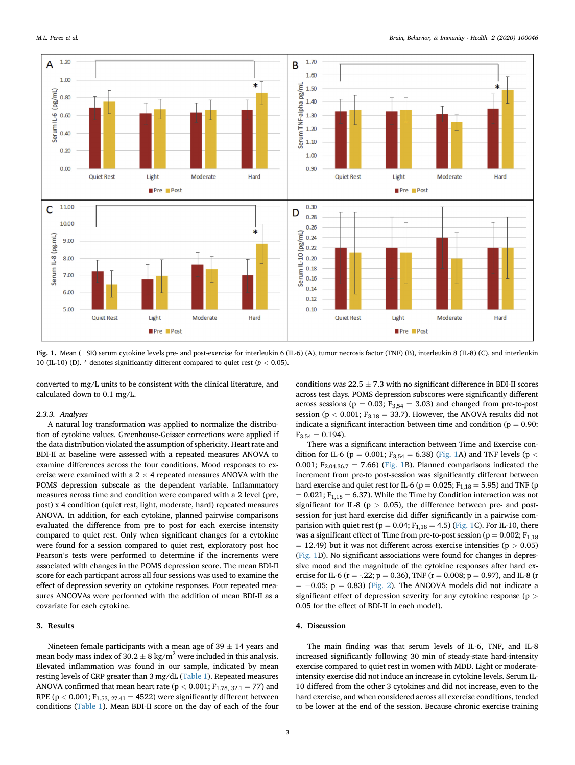<span id="page-2-0"></span>

Fig. 1. Mean (±SE) serum cytokine levels pre- and post-exercise for interleukin 6 (IL-6) (A), tumor necrosis factor (TNF) (B), interleukin 8 (IL-8) (C), and interleukin 10 (IL-10) (D). \* denotes significantly different compared to quiet rest ( $p < 0.05$ ).

converted to mg/L units to be consistent with the clinical literature, and calculated down to 0.1 mg/L.

#### 2.3.3. Analyses

A natural log transformation was applied to normalize the distribution of cytokine values. Greenhouse-Geisser corrections were applied if the data distribution violated the assumption of sphericity. Heart rate and BDI-II at baseline were assessed with a repeated measures ANOVA to examine differences across the four conditions. Mood responses to exercise were examined with a 2  $\times$  4 repeated measures ANOVA with the POMS depression subscale as the dependent variable. Inflammatory measures across time and condition were compared with a 2 level (pre, post) x 4 condition (quiet rest, light, moderate, hard) repeated measures ANOVA. In addition, for each cytokine, planned pairwise comparisons evaluated the difference from pre to post for each exercise intensity compared to quiet rest. Only when significant changes for a cytokine were found for a session compared to quiet rest, exploratory post hoc Pearson's tests were performed to determine if the increments were associated with changes in the POMS depression score. The mean BDI-II score for each particpant across all four sessions was used to examine the effect of depression severity on cytokine responses. Four repeated measures ANCOVAs were performed with the addition of mean BDI-II as a covariate for each cytokine.

#### 3. Results

Nineteen female participants with a mean age of  $39 \pm 14$  years and mean body mass index of 30.2  $\pm$  8 kg/m $^2$  were included in this analysis. Elevated inflammation was found in our sample, indicated by mean resting levels of CRP greater than 3 mg/dL [\(Table 1](#page-1-0)). Repeated measures ANOVA confirmed that mean heart rate ( $p < 0.001$ ;  $F_{1.78, 32.1} = 77$ ) and RPE ( $p < 0.001$ ;  $F_{1.53, 27.41} = 4522$ ) were significantly different between conditions ([Table 1](#page-1-0)). Mean BDI-II score on the day of each of the four

conditions was  $22.5 \pm 7.3$  with no significant difference in BDI-II scores across test days. POMS depression subscores were significantly different across sessions ( $p = 0.03$ ;  $F_{3,54} = 3.03$ ) and changed from pre-to-post session ( $p < 0.001$ ;  $F_{3,18} = 33.7$ ). However, the ANOVA results did not indicate a significant interaction between time and condition ( $p = 0.90$ :  $F_{3,54} = 0.194$ .

There was a significant interaction between Time and Exercise con-dition for IL-6 (p = 0.001; F<sub>3,54</sub> = 6.38) ([Fig. 1A](#page-2-0)) and TNF levels (p < 0.001;  $F_{2.04,36.7} = 7.66$ ) ([Fig. 1](#page-2-0)B). Planned comparisons indicated the increment from pre-to post-session was significantly different between hard exercise and quiet rest for IL-6 ( $p = 0.025$ ;  $F_{1,18} = 5.95$ ) and TNF ( $p$  $= 0.021$ ; F<sub>1,18</sub>  $= 6.37$ ). While the Time by Condition interaction was not significant for IL-8 ( $p > 0.05$ ), the difference between pre- and postsession for just hard exercise did differ significantly in a pairwise comparision with quiet rest ( $p = 0.04$ ;  $F_{1,18} = 4.5$ ) [\(Fig. 1](#page-2-0)C). For IL-10, there was a significant effect of Time from pre-to-post session ( $p = 0.002$ ;  $F_{1,18}$  $=$  12.49) but it was not different across exercise intensities (p  $>$  0.05) ([Fig. 1](#page-2-0)D). No significant associations were found for changes in depressive mood and the magnitude of the cytokine responses after hard exercise for IL-6 (r = -.22; p = 0.36), TNF (r = 0.008; p = 0.97), and IL-8 (r  $= -0.05$ ;  $p = 0.83$ ) ([Fig. 2](#page-3-0)). The ANCOVA models did not indicate a significant effect of depression severity for any cytokine response (p > 0.05 for the effect of BDI-II in each model).

#### 4. Discussion

The main finding was that serum levels of IL-6, TNF, and IL-8 increased significantly following 30 min of steady-state hard-intensity exercise compared to quiet rest in women with MDD. Light or moderateintensity exercise did not induce an increase in cytokine levels. Serum IL-10 differed from the other 3 cytokines and did not increase, even to the hard exercise, and when considered across all exercise conditions, tended to be lower at the end of the session. Because chronic exercise training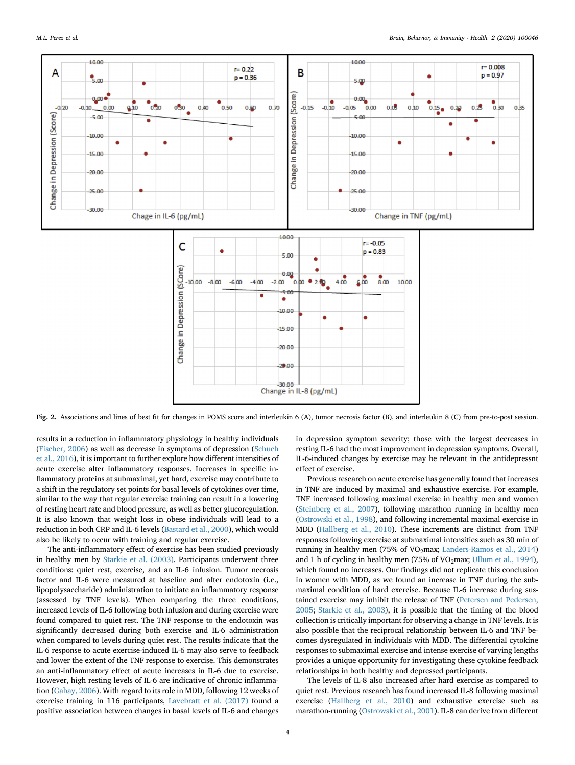<span id="page-3-0"></span>

Fig. 2. Associations and lines of best fit for changes in POMS score and interleukin 6 (A), tumor necrosis factor (B), and interleukin 8 (C) from pre-to-post session.

results in a reduction in inflammatory physiology in healthy individuals ([Fischer, 2006](#page-5-4)) as well as decrease in symptoms of depression ([Schuch](#page-5-5) [et al., 2016](#page-5-5)), it is important to further explore how different intensities of acute exercise alter inflammatory responses. Increases in specific inflammatory proteins at submaximal, yet hard, exercise may contribute to a shift in the regulatory set points for basal levels of cytokines over time, similar to the way that regular exercise training can result in a lowering of resting heart rate and blood pressure, as well as better glucoregulation. It is also known that weight loss in obese individuals will lead to a reduction in both CRP and IL-6 levels [\(Bastard et al., 2000\)](#page-4-6), which would also be likely to occur with training and regular exercise.

The anti-inflammatory effect of exercise has been studied previously in healthy men by [Starkie et al. \(2003\).](#page-5-12) Participants underwent three conditions: quiet rest, exercise, and an IL-6 infusion. Tumor necrosis factor and IL-6 were measured at baseline and after endotoxin (i.e., lipopolysaccharide) administration to initiate an inflammatory response (assessed by TNF levels). When comparing the three conditions, increased levels of IL-6 following both infusion and during exercise were found compared to quiet rest. The TNF response to the endotoxin was significantly decreased during both exercise and IL-6 administration when compared to levels during quiet rest. The results indicate that the IL-6 response to acute exercise-induced IL-6 may also serve to feedback and lower the extent of the TNF response to exercise. This demonstrates an anti-inflammatory effect of acute increases in IL-6 due to exercise. However, high resting levels of IL-6 are indicative of chronic inflammation [\(Gabay, 2006\)](#page-5-13). With regard to its role in MDD, following 12 weeks of exercise training in 116 participants, [Lavebratt et al. \(2017\)](#page-5-14) found a positive association between changes in basal levels of IL-6 and changes

in depression symptom severity; those with the largest decreases in resting IL-6 had the most improvement in depression symptoms. Overall, IL-6-induced changes by exercise may be relevant in the antidepressnt effect of exercise.

Previous research on acute exercise has generally found that increases in TNF are induced by maximal and exhaustive exercise. For example, TNF increased following maximal exercise in healthy men and women ([Steinberg et al., 2007\)](#page-5-15), following marathon running in healthy men ([Ostrowski et al., 1998](#page-5-16)), and following incremental maximal exercise in MDD ([Hallberg et al., 2010\)](#page-5-7). These increments are distinct from TNF responses following exercise at submaximal intensities such as 30 min of running in healthy men (75% of  $VO<sub>2</sub>max$ ; [Landers-Ramos et al., 2014\)](#page-5-17) and 1 h of cycling in healthy men (75% of VO<sub>2</sub>max; [Ullum et al., 1994\)](#page-5-18), which found no increases. Our findings did not replicate this conclusion in women with MDD, as we found an increase in TNF during the submaximal condition of hard exercise. Because IL-6 increase during sustained exercise may inhibit the release of TNF [\(Petersen and Pedersen,](#page-5-19) [2005;](#page-5-19) [Starkie et al., 2003](#page-5-12)), it is possible that the timing of the blood collection is critically important for observing a change in TNF levels. It is also possible that the reciprocal relationship between IL-6 and TNF becomes dysregulated in individuals with MDD. The differential cytokine responses to submaximal exercise and intense exercise of varying lengths provides a unique opportunity for investigating these cytokine feedback relationships in both healthy and depressed participants.

The levels of IL-8 also increased after hard exercise as compared to quiet rest. Previous research has found increased IL-8 following maximal exercise [\(Hallberg et al., 2010](#page-5-7)) and exhaustive exercise such as marathon-running ([Ostrowski et al., 2001\)](#page-5-20). IL-8 can derive from different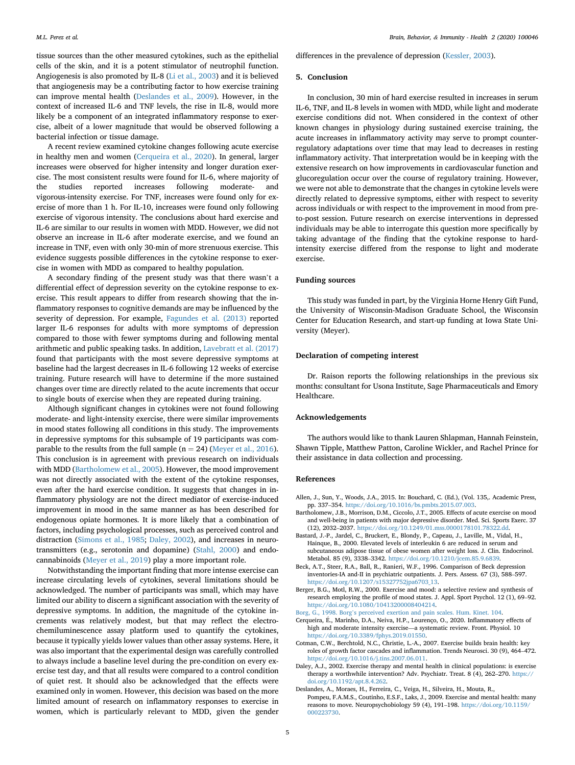tissue sources than the other measured cytokines, such as the epithelial cells of the skin, and it is a potent stimulator of neutrophil function. Angiogenesis is also promoted by IL-8 [\(Li et al., 2003\)](#page-5-21) and it is believed that angiogenesis may be a contributing factor to how exercise training can improve mental health [\(Deslandes et al., 2009\)](#page-4-7). However, in the context of increased IL-6 and TNF levels, the rise in IL-8, would more likely be a component of an integrated inflammatory response to exercise, albeit of a lower magnitude that would be observed following a bacterial infection or tissue damage.

A recent review examined cytokine changes following acute exercise in healthy men and women ([Cerqueira et al., 2020](#page-4-2)). In general, larger increases were observed for higher intensity and longer duration exercise. The most consistent results were found for IL-6, where majority of the studies reported increases following moderate- and vigorous-intensity exercise. For TNF, increases were found only for exercise of more than 1 h. For IL-10, increases were found only following exercise of vigorous intensity. The conclusions about hard exercise and IL-6 are similar to our results in women with MDD. However, we did not observe an increase in IL-6 after moderate exercise, and we found an increase in TNF, even with only 30-min of more strenuous exercise. This evidence suggests possible differences in the cytokine response to exercise in women with MDD as compared to healthy population.

A secondary finding of the present study was that there wasn't a differential effect of depression severity on the cytokine response to exercise. This result appears to differ from research showing that the inflammatory responses to cognitive demands are may be influenced by the severity of depression. For example, [Fagundes et al. \(2013\)](#page-5-8) reported larger IL-6 responses for adults with more symptoms of depression compared to those with fewer symptoms during and following mental arithmetic and public speaking tasks. In addition, [Lavebratt et al. \(2017\)](#page-5-14) found that participants with the most severe depressive symptoms at baseline had the largest decreases in IL-6 following 12 weeks of exercise training. Future research will have to determine if the more sustained changes over time are directly related to the acute increments that occur to single bouts of exercise when they are repeated during training.

Although significant changes in cytokines were not found following moderate- and light-intensity exercise, there were similar improvements in mood states following all conditions in this study. The improvements in depressive symptoms for this subsample of 19 participants was comparable to the results from the full sample ( $n = 24$ ) [\(Meyer et al., 2016\)](#page-5-9). This conclusion is in agreement with previous research on individuals with MDD ([Bartholomew et al., 2005](#page-4-8)). However, the mood improvement was not directly associated with the extent of the cytokine responses, even after the hard exercise condition. It suggests that changes in inflammatory physiology are not the direct mediator of exercise-induced improvement in mood in the same manner as has been described for endogenous opiate hormones. It is more likely that a combination of factors, including psychological processes, such as perceived control and distraction ([Simons et al., 1985;](#page-5-22) [Daley, 2002\)](#page-4-9), and increases in neurotransmitters (e.g., serotonin and dopamine) [\(Stahl, 2000](#page-5-23)) and endocannabinoids [\(Meyer et al., 2019](#page-5-24)) play a more important role.

Notwithstanding the important finding that more intense exercise can increase circulating levels of cytokines, several limitations should be acknowledged. The number of participants was small, which may have limited our ability to discern a significant association with the severity of depressive symptoms. In addition, the magnitude of the cytokine increments was relatively modest, but that may reflect the electrochemiluminescence assay platform used to quantify the cytokines, because it typically yields lower values than other assay systems. Here, it was also important that the experimental design was carefully controlled to always include a baseline level during the pre-condition on every exercise test day, and that all results were compared to a control condition of quiet rest. It should also be acknowledged that the effects were examined only in women. However, this decision was based on the more limited amount of research on inflammatory responses to exercise in women, which is particularly relevant to MDD, given the gender differences in the prevalence of depression ([Kessler, 2003\)](#page-5-25).

#### 5. Conclusion

In conclusion, 30 min of hard exercise resulted in increases in serum IL-6, TNF, and IL-8 levels in women with MDD, while light and moderate exercise conditions did not. When considered in the context of other known changes in physiology during sustained exercise training, the acute increases in inflammatory activity may serve to prompt counterregulatory adaptations over time that may lead to decreases in resting inflammatory activity. That interpretation would be in keeping with the extensive research on how improvements in cardiovascular function and glucoregulation occur over the course of regulatory training. However, we were not able to demonstrate that the changes in cytokine levels were directly related to depressive symptoms, either with respect to severity across individuals or with respect to the improvement in mood from preto-post session. Future research on exercise interventions in depressed individuals may be able to interrogate this question more specifically by taking advantage of the finding that the cytokine response to hardintensity exercise differed from the response to light and moderate exercise.

### Funding sources

This study was funded in part, by the Virginia Horne Henry Gift Fund, the University of Wisconsin-Madison Graduate School, the Wisconsin Center for Education Research, and start-up funding at Iowa State University (Meyer).

#### Declaration of competing interest

Dr. Raison reports the following relationships in the previous six months: consultant for Usona Institute, Sage Pharmaceuticals and Emory Healthcare.

## Acknowledgements

The authors would like to thank Lauren Shlapman, Hannah Feinstein, Shawn Tipple, Matthew Patton, Caroline Wickler, and Rachel Prince for their assistance in data collection and processing.

## <span id="page-4-1"></span>References

- <span id="page-4-8"></span>Allen, J., Sun, Y., Woods, J.A., 2015. In: Bouchard, C. (Ed.), (Vol. 135,. Academic Press, pp. 337–354. [https://doi.org/10.1016/bs.pmbts.2015.07.003.](https://doi.org/10.1016/bs.pmbts.2015.07.003)
- Bartholomew, J.B., Morrison, D.M., Ciccolo, J.T., 2005. Effects of acute exercise on mood and well-being in patients with major depressive disorder. Med. Sci. Sports Exerc. 37 (12), 2032–2037. <https://doi.org/10.1249/01.mss.0000178101.78322.dd>.
- <span id="page-4-6"></span>Bastard, J.-P., Jardel, C., Bruckert, E., Blondy, P., Capeau, J., Laville, M., Vidal, H., Hainque, B., 2000. Elevated levels of interleukin 6 are reduced in serum and subcutaneous adipose tissue of obese women after weight loss. J. Clin. Endocrinol. Metabol. 85 (9), 3338–3342. <https://doi.org/10.1210/jcem.85.9.6839>.
- <span id="page-4-4"></span>Beck, A.T., Steer, R.A., Ball, R., Ranieri, W.F., 1996. Comparison of Beck depression inventories-IA and-II in psychiatric outpatients. J. Pers. Assess. 67 (3), 588–597. [https://doi.org/10.1207/s15327752jpa6703\\_13](https://doi.org/10.1207/s15327752jpa6703_13).
- <span id="page-4-5"></span>Berger, B.G., Motl, R.W., 2000. Exercise and mood: a selective review and synthesis of research employing the profile of mood states. J. Appl. Sport Psychol. 12 (1), 69–92. [https://doi.org/10.1080/10413200008404214.](https://doi.org/10.1080/10413200008404214)
- <span id="page-4-3"></span><span id="page-4-2"></span>Borg, G., 1998. Borg'[s perceived exertion and pain scales. Hum. Kinet. 104.](http://refhub.elsevier.com/S2666-3546(20)30011-9/sref5)
- Cerqueira, E., Marinho, D.A., Neiva, H.P., Lourenço, O., 2020. In flammatory effects of high and moderate intensity exercise—a systematic review. Front. Physiol. 10 [https://doi.org/10.3389/fphys.2019.01550.](https://doi.org/10.3389/fphys.2019.01550)
- <span id="page-4-0"></span>Cotman, C.W., Berchtold, N.C., Christie, L.-A., 2007. Exercise builds brain health: key roles of growth factor cascades and inflammation. Trends Neurosci. 30 (9), 464–472. <https://doi.org/10.1016/j.tins.2007.06.011>.
- <span id="page-4-9"></span>Daley, A.J., 2002. Exercise therapy and mental health in clinical populations: is exercise therapy a worthwhile intervention? Adv. Psychiatr. Treat. 8 (4), 262–270. [https://](https://doi.org/10.1192/apt.8.4.262) [doi.org/10.1192/apt.8.4.262.](https://doi.org/10.1192/apt.8.4.262)
- <span id="page-4-7"></span>Deslandes, A., Moraes, H., Ferreira, C., Veiga, H., Silveira, H., Mouta, R., Pompeu, F.A.M.S., Coutinho, E.S.F., Laks, J., 2009. Exercise and mental health: many reasons to move. Neuropsychobiology 59 (4), 191–198. [https://doi.org/10.1159/](https://doi.org/10.1159/000223730) [000223730.](https://doi.org/10.1159/000223730)